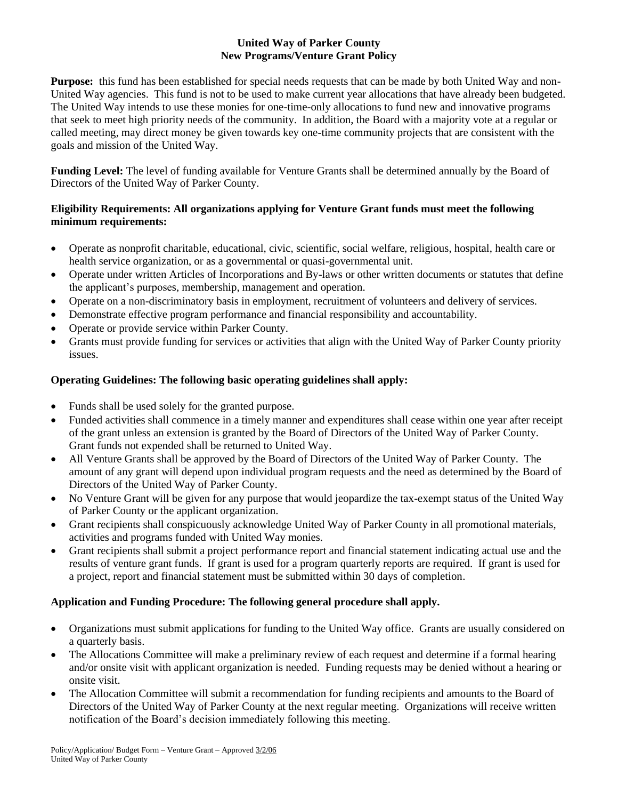## **United Way of Parker County New Programs/Venture Grant Policy**

**Purpose:** this fund has been established for special needs requests that can be made by both United Way and non-United Way agencies. This fund is not to be used to make current year allocations that have already been budgeted. The United Way intends to use these monies for one-time-only allocations to fund new and innovative programs that seek to meet high priority needs of the community. In addition, the Board with a majority vote at a regular or called meeting, may direct money be given towards key one-time community projects that are consistent with the goals and mission of the United Way.

**Funding Level:** The level of funding available for Venture Grants shall be determined annually by the Board of Directors of the United Way of Parker County.

# **Eligibility Requirements: All organizations applying for Venture Grant funds must meet the following minimum requirements:**

- Operate as nonprofit charitable, educational, civic, scientific, social welfare, religious, hospital, health care or health service organization, or as a governmental or quasi-governmental unit.
- Operate under written Articles of Incorporations and By-laws or other written documents or statutes that define the applicant's purposes, membership, management and operation.
- Operate on a non-discriminatory basis in employment, recruitment of volunteers and delivery of services.
- Demonstrate effective program performance and financial responsibility and accountability.
- Operate or provide service within Parker County.
- Grants must provide funding for services or activities that align with the United Way of Parker County priority issues.

# **Operating Guidelines: The following basic operating guidelines shall apply:**

- Funds shall be used solely for the granted purpose.
- Funded activities shall commence in a timely manner and expenditures shall cease within one year after receipt of the grant unless an extension is granted by the Board of Directors of the United Way of Parker County. Grant funds not expended shall be returned to United Way.
- All Venture Grants shall be approved by the Board of Directors of the United Way of Parker County. The amount of any grant will depend upon individual program requests and the need as determined by the Board of Directors of the United Way of Parker County.
- No Venture Grant will be given for any purpose that would jeopardize the tax-exempt status of the United Way of Parker County or the applicant organization.
- Grant recipients shall conspicuously acknowledge United Way of Parker County in all promotional materials, activities and programs funded with United Way monies.
- Grant recipients shall submit a project performance report and financial statement indicating actual use and the results of venture grant funds. If grant is used for a program quarterly reports are required. If grant is used for a project, report and financial statement must be submitted within 30 days of completion.

# **Application and Funding Procedure: The following general procedure shall apply.**

- Organizations must submit applications for funding to the United Way office. Grants are usually considered on a quarterly basis.
- The Allocations Committee will make a preliminary review of each request and determine if a formal hearing and/or onsite visit with applicant organization is needed. Funding requests may be denied without a hearing or onsite visit.
- The Allocation Committee will submit a recommendation for funding recipients and amounts to the Board of Directors of the United Way of Parker County at the next regular meeting. Organizations will receive written notification of the Board's decision immediately following this meeting.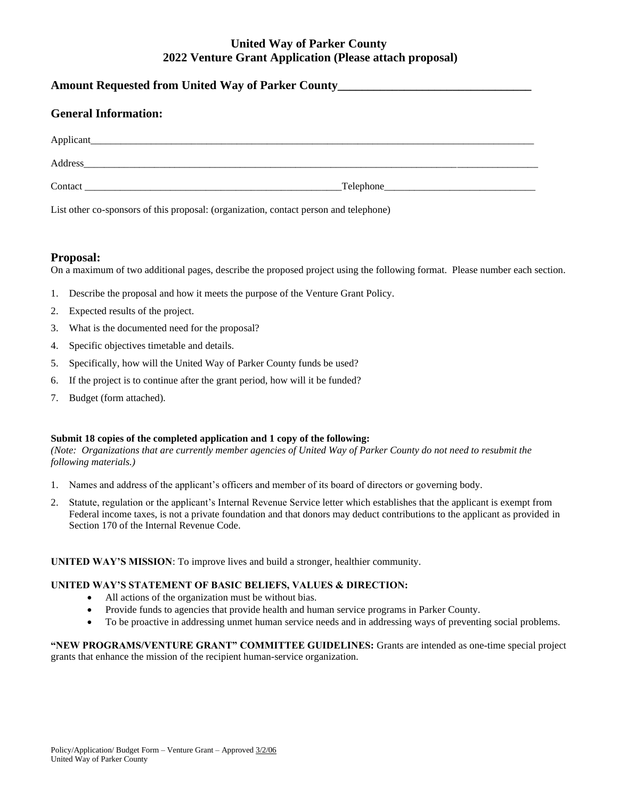# **United Way of Parker County 2022 Venture Grant Application (Please attach proposal)**

| Amount Requested from United Way of Parker County________________________________ |  |
|-----------------------------------------------------------------------------------|--|
| <b>General Information:</b>                                                       |  |
|                                                                                   |  |
|                                                                                   |  |
| $\text{Context}\_\_\_\_\_\_\_\_$                                                  |  |

List other co-sponsors of this proposal: (organization, contact person and telephone)

### **Proposal:**

On a maximum of two additional pages, describe the proposed project using the following format. Please number each section.

- 1. Describe the proposal and how it meets the purpose of the Venture Grant Policy.
- 2. Expected results of the project.
- 3. What is the documented need for the proposal?
- 4. Specific objectives timetable and details.
- 5. Specifically, how will the United Way of Parker County funds be used?
- 6. If the project is to continue after the grant period, how will it be funded?
- 7. Budget (form attached).

#### **Submit 18 copies of the completed application and 1 copy of the following:**

*(Note: Organizations that are currently member agencies of United Way of Parker County do not need to resubmit the following materials.)*

- 1. Names and address of the applicant's officers and member of its board of directors or governing body.
- 2. Statute, regulation or the applicant's Internal Revenue Service letter which establishes that the applicant is exempt from Federal income taxes, is not a private foundation and that donors may deduct contributions to the applicant as provided in Section 170 of the Internal Revenue Code.

#### **UNITED WAY'S MISSION**: To improve lives and build a stronger, healthier community.

#### **UNITED WAY'S STATEMENT OF BASIC BELIEFS, VALUES & DIRECTION:**

- All actions of the organization must be without bias.
- Provide funds to agencies that provide health and human service programs in Parker County.
- To be proactive in addressing unmet human service needs and in addressing ways of preventing social problems.

**"NEW PROGRAMS/VENTURE GRANT" COMMITTEE GUIDELINES:** Grants are intended as one-time special project grants that enhance the mission of the recipient human-service organization.